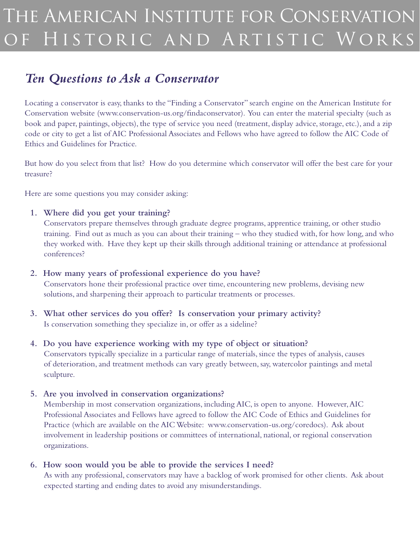# The American Institute for Conservation H ISTORIC AND ARTISTIC WORKS

# *Ten Questions to Ask a Conservator*

Locating a conservator is easy, thanks to the "Finding a Conservator" search engine on the American Institute for Conservation website (www.conservation-us.org/findaconservator). You can enter the material specialty (such as book and paper, paintings, objects), the type of service you need (treatment, display advice, storage, etc.), and a zip code or city to get a list of AIC Professional Associates and Fellows who have agreed to follow the AIC Code of Ethics and Guidelines for Practice.

But how do you select from that list? How do you determine which conservator will offer the best care for your treasure?

Here are some questions you may consider asking:

#### **1. Where did you get your training?**

Conservators prepare themselves through graduate degree programs, apprentice training, or other studio training. Find out as much as you can about their training – who they studied with, for how long, and who they worked with. Have they kept up their skills through additional training or attendance at professional conferences?

#### **2. How many years of professional experience do you have?**

Conservators hone their professional practice over time, encountering new problems, devising new solutions, and sharpening their approach to particular treatments or processes.

#### **3. What other services do you offer? Is conservation your primary activity?**  Is conservation something they specialize in, or offer as a sideline?

#### **4. Do you have experience working with my type of object or situation?**

Conservators typically specialize in a particular range of materials, since the types of analysis, causes of deterioration, and treatment methods can vary greatly between, say, watercolor paintings and metal sculpture.

#### **5. Are you involved in conservation organizations?**

Membership in most conservation organizations, including AIC, is open to anyone. However, AIC Professional Associates and Fellows have agreed to follow the AIC Code of Ethics and Guidelines for Practice (which are available on the AIC Website: www.conservation-us.org/coredocs). Ask about involvement in leadership positions or committees of international, national, or regional conservation organizations.

#### **6. How soon would you be able to provide the services I need?**

As with any professional, conservators may have a backlog of work promised for other clients. Ask about expected starting and ending dates to avoid any misunderstandings.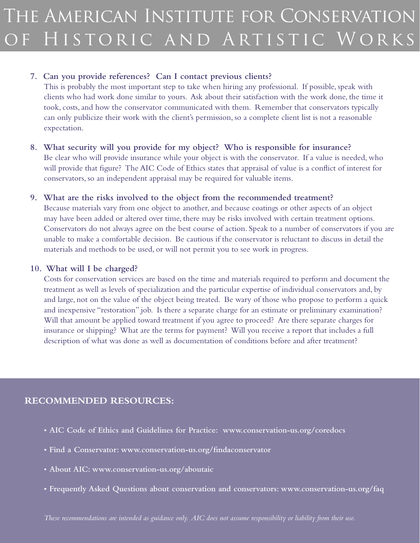#### **7. Can you provide references? Can I contact previous clients?**

This is probably the most important step to take when hiring any professional. If possible, speak with clients who had work done similar to yours. Ask about their satisfaction with the work done, the time it took, costs, and how the conservator communicated with them. Remember that conservators typically can only publicize their work with the client's permission, so a complete client list is not a reasonable expectation.

**8. What security will you provide for my object? Who is responsible for insurance?** Be clear who will provide insurance while your object is with the conservator. If a value is needed, who will provide that figure? The AIC Code of Ethics states that appraisal of value is a conflict of interest for conservators, so an independent appraisal may be required for valuable items.

#### **9. What are the risks involved to the object from the recommended treatment?**

Because materials vary from one object to another, and because coatings or other aspects of an object may have been added or altered over time, there may be risks involved with certain treatment options. Conservators do not always agree on the best course of action. Speak to a number of conservators if you are unable to make a comfortable decision. Be cautious if the conservator is reluctant to discuss in detail the materials and methods to be used, or will not permit you to see work in progress.

#### **10. What will I be charged?**

Costs for conservation services are based on the time and materials required to perform and document the treatment as well as levels of specialization and the particular expertise of individual conservators and, by and large, not on the value of the object being treated. Be wary of those who propose to perform a quick and inexpensive "restoration" job. Is there a separate charge for an estimate or preliminary examination? Will that amount be applied toward treatment if you agree to proceed? Are there separate charges for insurance or shipping? What are the terms for payment? Will you receive a report that includes a full description of what was done as well as documentation of conditions before and after treatment?

#### **Recommended resources:**

- **• AIC Code of Ethics and Guidelines for Practice: www.conservation-us.org/coredocs**
- **• Find a Conservator: www.conservation-us.org/findaconservator**
- **• About AIC: www.conservation-us.org/aboutaic**
- **• Frequently Asked Questions about conservation and conservators: www.conservation-us.org/faq**

*These recommendations are intended as guidance only. AIC does not assume responsibility or liability from their use.*